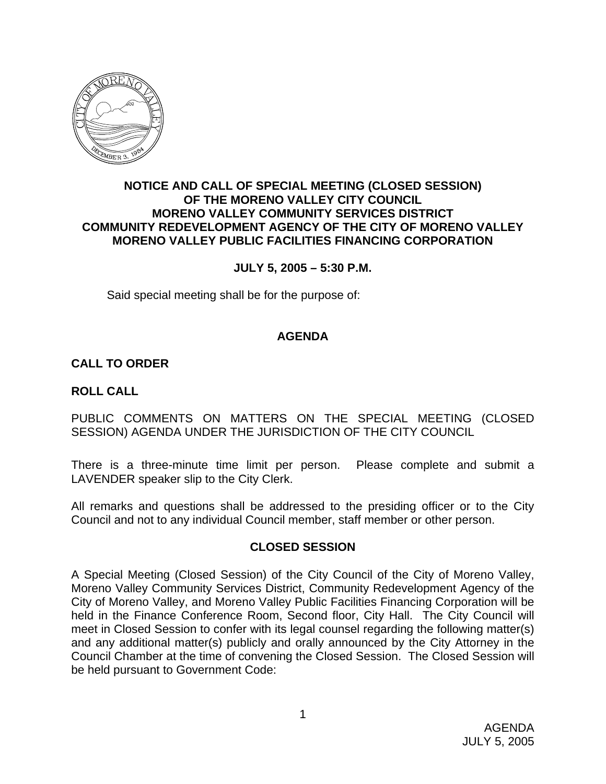

### **NOTICE AND CALL OF SPECIAL MEETING (CLOSED SESSION) OF THE MORENO VALLEY CITY COUNCIL MORENO VALLEY COMMUNITY SERVICES DISTRICT COMMUNITY REDEVELOPMENT AGENCY OF THE CITY OF MORENO VALLEY MORENO VALLEY PUBLIC FACILITIES FINANCING CORPORATION**

### **JULY 5, 2005 – 5:30 P.M.**

Said special meeting shall be for the purpose of:

# **AGENDA**

# **CALL TO ORDER**

### **ROLL CALL**

PUBLIC COMMENTS ON MATTERS ON THE SPECIAL MEETING (CLOSED SESSION) AGENDA UNDER THE JURISDICTION OF THE CITY COUNCIL

There is a three-minute time limit per person. Please complete and submit a LAVENDER speaker slip to the City Clerk.

All remarks and questions shall be addressed to the presiding officer or to the City Council and not to any individual Council member, staff member or other person.

### **CLOSED SESSION**

A Special Meeting (Closed Session) of the City Council of the City of Moreno Valley, Moreno Valley Community Services District, Community Redevelopment Agency of the City of Moreno Valley, and Moreno Valley Public Facilities Financing Corporation will be held in the Finance Conference Room, Second floor, City Hall. The City Council will meet in Closed Session to confer with its legal counsel regarding the following matter(s) and any additional matter(s) publicly and orally announced by the City Attorney in the Council Chamber at the time of convening the Closed Session. The Closed Session will be held pursuant to Government Code: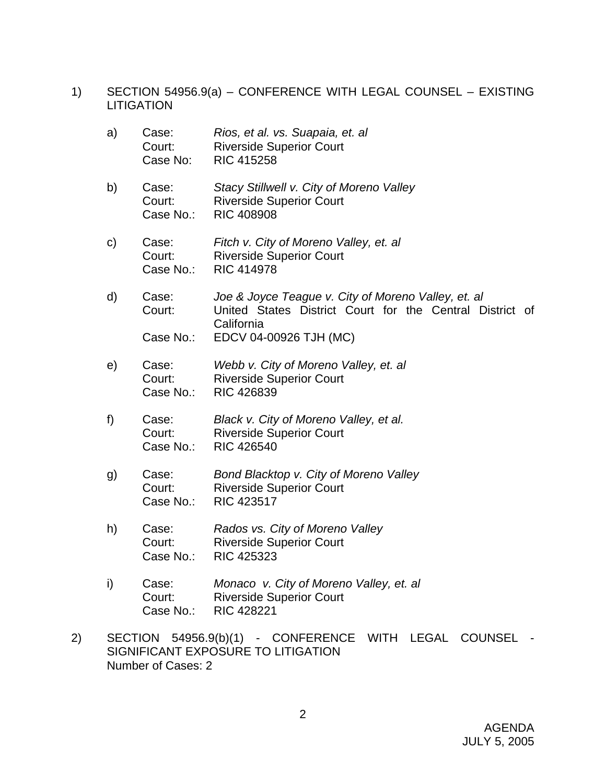- 1) SECTION 54956.9(a) CONFERENCE WITH LEGAL COUNSEL EXISTING **LITIGATION** 
	- a) Case: *Rios, et al. vs. Suapaia, et. al* Court: Riverside Superior Court Case No: RIC 415258
	- b) Case: *Stacy Stillwell v. City of Moreno Valley*  Court: Riverside Superior Court Case No.: RIC 408908
	- c) Case: *Fitch v. City of Moreno Valley, et. al*  Court: Riverside Superior Court Case No.: RIC 414978
	- d) Case: *Joe & Joyce Teague v. City of Moreno Valley, et. al*  Court: United States District Court for the Central District of California Case No.: EDCV 04-00926 TJH (MC)
	- e) Case: *Webb v. City of Moreno Valley, et. al*  **Court:** Riverside Superior Court Case No.: RIC 426839
	- f) Case: *Black v. City of Moreno Valley, et al.*  Court: Riverside Superior Court Case No.: RIC 426540
	- g) Case: *Bond Blacktop v. City of Moreno Valley* **Court:** Riverside Superior Court Case No.: RIC 423517
	- h) Case: *Rados vs. City of Moreno Valley*  Court: Riverside Superior Court Case No.: RIC 425323
	- i) Case: *Monaco v. City of Moreno Valley, et. al* **Court:** Riverside Superior Court Case No.: RIC 428221
- 2) SECTION 54956.9(b)(1) CONFERENCE WITH LEGAL COUNSEL SIGNIFICANT EXPOSURE TO LITIGATION Number of Cases: 2